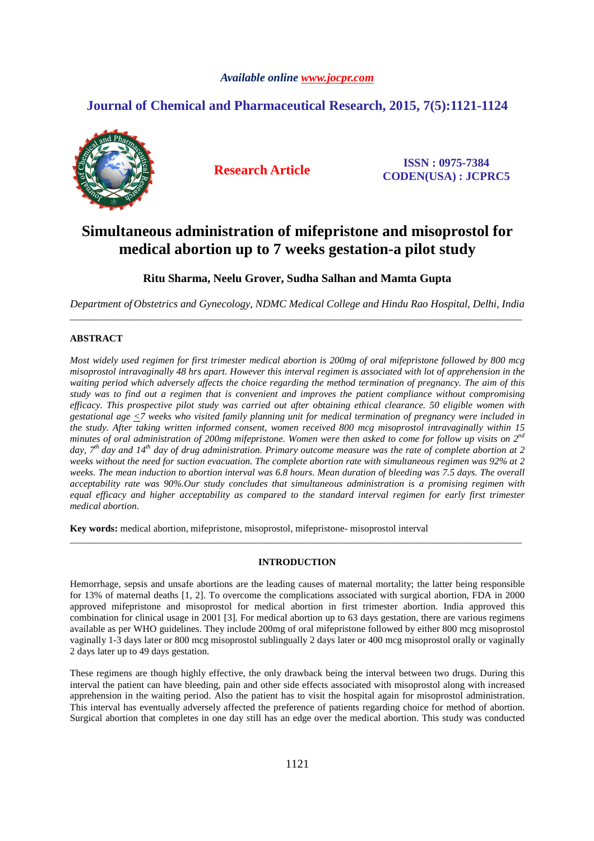# *Available online www.jocpr.com*

# **Journal of Chemical and Pharmaceutical Research, 2015, 7(5):1121-1124**



**Research Article ISSN : 0975-7384 CODEN(USA) : JCPRC5**

# **Simultaneous administration of mifepristone and misoprostol for medical abortion up to 7 weeks gestation-a pilot study**

**Ritu Sharma, Neelu Grover, Sudha Salhan and Mamta Gupta** 

*Department of Obstetrics and Gynecology, NDMC Medical College and Hindu Rao Hospital, Delhi, India*  \_\_\_\_\_\_\_\_\_\_\_\_\_\_\_\_\_\_\_\_\_\_\_\_\_\_\_\_\_\_\_\_\_\_\_\_\_\_\_\_\_\_\_\_\_\_\_\_\_\_\_\_\_\_\_\_\_\_\_\_\_\_\_\_\_\_\_\_\_\_\_\_\_\_\_\_\_\_\_\_\_\_\_\_\_\_\_\_\_\_\_\_\_

# **ABSTRACT**

*Most widely used regimen for first trimester medical abortion is 200mg of oral mifepristone followed by 800 mcg misoprostol intravaginally 48 hrs apart. However this interval regimen is associated with lot of apprehension in the waiting period which adversely affects the choice regarding the method termination of pregnancy. The aim of this study was to find out a regimen that is convenient and improves the patient compliance without compromising efficacy. This prospective pilot study was carried out after obtaining ethical clearance. 50 eligible women with gestational age <7 weeks who visited family planning unit for medical termination of pregnancy were included in the study. After taking written informed consent, women received 800 mcg misoprostol intravaginally within 15 minutes of oral administration of 200mg mifepristone. Women were then asked to come for follow up visits on 2nd day, 7th day and 14th day of drug administration. Primary outcome measure was the rate of complete abortion at 2 weeks without the need for suction evacuation. The complete abortion rate with simultaneous regimen was 92% at 2*  weeks. The mean induction to abortion interval was 6.8 hours. Mean duration of bleeding was 7.5 days. The overall *acceptability rate was 90%.Our study concludes that simultaneous administration is a promising regimen with equal efficacy and higher acceptability as compared to the standard interval regimen for early first trimester medical abortion.* 

**Key words:** medical abortion, mifepristone, misoprostol, mifepristone- misoprostol interval

## **INTRODUCTION**

\_\_\_\_\_\_\_\_\_\_\_\_\_\_\_\_\_\_\_\_\_\_\_\_\_\_\_\_\_\_\_\_\_\_\_\_\_\_\_\_\_\_\_\_\_\_\_\_\_\_\_\_\_\_\_\_\_\_\_\_\_\_\_\_\_\_\_\_\_\_\_\_\_\_\_\_\_\_\_\_\_\_\_\_\_\_\_\_\_\_\_\_\_

Hemorrhage, sepsis and unsafe abortions are the leading causes of maternal mortality; the latter being responsible for 13% of maternal deaths [1, 2]. To overcome the complications associated with surgical abortion, FDA in 2000 approved mifepristone and misoprostol for medical abortion in first trimester abortion. India approved this combination for clinical usage in 2001 [3]. For medical abortion up to 63 days gestation, there are various regimens available as per WHO guidelines. They include 200mg of oral mifepristone followed by either 800 mcg misoprostol vaginally 1-3 days later or 800 mcg misoprostol sublingually 2 days later or 400 mcg misoprostol orally or vaginally 2 days later up to 49 days gestation.

These regimens are though highly effective, the only drawback being the interval between two drugs. During this interval the patient can have bleeding, pain and other side effects associated with misoprostol along with increased apprehension in the waiting period. Also the patient has to visit the hospital again for misoprostol administration. This interval has eventually adversely affected the preference of patients regarding choice for method of abortion. Surgical abortion that completes in one day still has an edge over the medical abortion. This study was conducted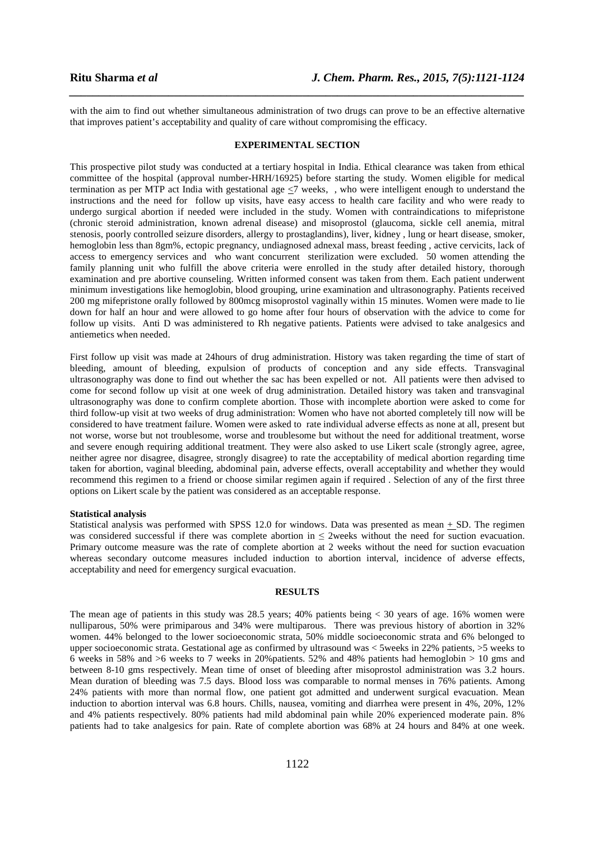with the aim to find out whether simultaneous administration of two drugs can prove to be an effective alternative that improves patient's acceptability and quality of care without compromising the efficacy.

*\_\_\_\_\_\_\_\_\_\_\_\_\_\_\_\_\_\_\_\_\_\_\_\_\_\_\_\_\_\_\_\_\_\_\_\_\_\_\_\_\_\_\_\_\_\_\_\_\_\_\_\_\_\_\_\_\_\_\_\_\_\_\_\_\_\_\_\_\_\_\_\_\_\_\_\_\_\_*

#### **EXPERIMENTAL SECTION**

This prospective pilot study was conducted at a tertiary hospital in India. Ethical clearance was taken from ethical committee of the hospital (approval number-HRH/16925) before starting the study. Women eligible for medical termination as per MTP act India with gestational age  $\leq$ 7 weeks, , who were intelligent enough to understand the instructions and the need for follow up visits, have easy access to health care facility and who were ready to undergo surgical abortion if needed were included in the study. Women with contraindications to mifepristone (chronic steroid administration, known adrenal disease) and misoprostol (glaucoma, sickle cell anemia, mitral stenosis, poorly controlled seizure disorders, allergy to prostaglandins), liver, kidney , lung or heart disease, smoker, hemoglobin less than 8gm%, ectopic pregnancy, undiagnosed adnexal mass, breast feeding , active cervicits, lack of access to emergency services and who want concurrent sterilization were excluded. 50 women attending the family planning unit who fulfill the above criteria were enrolled in the study after detailed history, thorough examination and pre abortive counseling. Written informed consent was taken from them. Each patient underwent minimum investigations like hemoglobin, blood grouping, urine examination and ultrasonography. Patients received 200 mg mifepristone orally followed by 800mcg misoprostol vaginally within 15 minutes. Women were made to lie down for half an hour and were allowed to go home after four hours of observation with the advice to come for follow up visits. Anti D was administered to Rh negative patients. Patients were advised to take analgesics and antiemetics when needed.

First follow up visit was made at 24hours of drug administration. History was taken regarding the time of start of bleeding, amount of bleeding, expulsion of products of conception and any side effects. Transvaginal ultrasonography was done to find out whether the sac has been expelled or not. All patients were then advised to come for second follow up visit at one week of drug administration. Detailed history was taken and transvaginal ultrasonography was done to confirm complete abortion. Those with incomplete abortion were asked to come for third follow-up visit at two weeks of drug administration: Women who have not aborted completely till now will be considered to have treatment failure. Women were asked to rate individual adverse effects as none at all, present but not worse, worse but not troublesome, worse and troublesome but without the need for additional treatment, worse and severe enough requiring additional treatment. They were also asked to use Likert scale (strongly agree, agree, neither agree nor disagree, disagree, strongly disagree) to rate the acceptability of medical abortion regarding time taken for abortion, vaginal bleeding, abdominal pain, adverse effects, overall acceptability and whether they would recommend this regimen to a friend or choose similar regimen again if required . Selection of any of the first three options on Likert scale by the patient was considered as an acceptable response.

#### **Statistical analysis**

Statistical analysis was performed with SPSS 12.0 for windows. Data was presented as mean + SD. The regimen was considered successful if there was complete abortion in ≤ 2weeks without the need for suction evacuation. Primary outcome measure was the rate of complete abortion at 2 weeks without the need for suction evacuation whereas secondary outcome measures included induction to abortion interval, incidence of adverse effects, acceptability and need for emergency surgical evacuation.

#### **RESULTS**

The mean age of patients in this study was 28.5 years; 40% patients being < 30 years of age. 16% women were nulliparous, 50% were primiparous and 34% were multiparous. There was previous history of abortion in 32% women. 44% belonged to the lower socioeconomic strata, 50% middle socioeconomic strata and 6% belonged to upper socioeconomic strata. Gestational age as confirmed by ultrasound was < 5weeks in 22% patients, >5 weeks to 6 weeks in 58% and >6 weeks to 7 weeks in 20%patients. 52% and 48% patients had hemoglobin > 10 gms and between 8-10 gms respectively. Mean time of onset of bleeding after misoprostol administration was 3.2 hours. Mean duration of bleeding was 7.5 days. Blood loss was comparable to normal menses in 76% patients. Among 24% patients with more than normal flow, one patient got admitted and underwent surgical evacuation. Mean induction to abortion interval was 6.8 hours. Chills, nausea, vomiting and diarrhea were present in 4%, 20%, 12% and 4% patients respectively. 80% patients had mild abdominal pain while 20% experienced moderate pain. 8% patients had to take analgesics for pain. Rate of complete abortion was 68% at 24 hours and 84% at one week.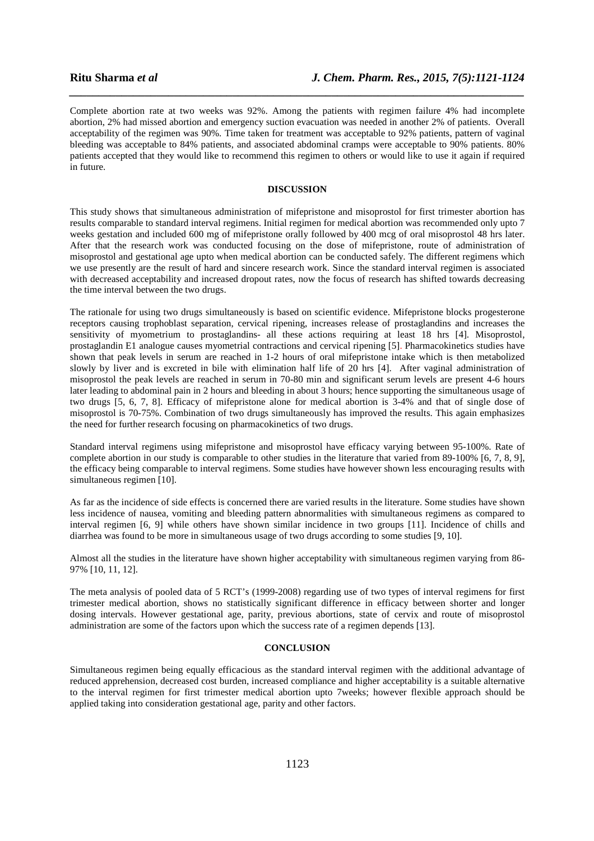Complete abortion rate at two weeks was 92%. Among the patients with regimen failure 4% had incomplete abortion, 2% had missed abortion and emergency suction evacuation was needed in another 2% of patients. Overall acceptability of the regimen was 90%. Time taken for treatment was acceptable to 92% patients, pattern of vaginal bleeding was acceptable to 84% patients, and associated abdominal cramps were acceptable to 90% patients. 80% patients accepted that they would like to recommend this regimen to others or would like to use it again if required in future.

*\_\_\_\_\_\_\_\_\_\_\_\_\_\_\_\_\_\_\_\_\_\_\_\_\_\_\_\_\_\_\_\_\_\_\_\_\_\_\_\_\_\_\_\_\_\_\_\_\_\_\_\_\_\_\_\_\_\_\_\_\_\_\_\_\_\_\_\_\_\_\_\_\_\_\_\_\_\_*

#### **DISCUSSION**

This study shows that simultaneous administration of mifepristone and misoprostol for first trimester abortion has results comparable to standard interval regimens. Initial regimen for medical abortion was recommended only upto 7 weeks gestation and included 600 mg of mifepristone orally followed by 400 mcg of oral misoprostol 48 hrs later. After that the research work was conducted focusing on the dose of mifepristone, route of administration of misoprostol and gestational age upto when medical abortion can be conducted safely. The different regimens which we use presently are the result of hard and sincere research work. Since the standard interval regimen is associated with decreased acceptability and increased dropout rates, now the focus of research has shifted towards decreasing the time interval between the two drugs.

The rationale for using two drugs simultaneously is based on scientific evidence. Mifepristone blocks progesterone receptors causing trophoblast separation, cervical ripening, increases release of prostaglandins and increases the sensitivity of myometrium to prostaglandins- all these actions requiring at least 18 hrs [4]. Misoprostol, prostaglandin E1 analogue causes myometrial contractions and cervical ripening [5]. Pharmacokinetics studies have shown that peak levels in serum are reached in 1-2 hours of oral mifepristone intake which is then metabolized slowly by liver and is excreted in bile with elimination half life of 20 hrs [4]. After vaginal administration of misoprostol the peak levels are reached in serum in 70-80 min and significant serum levels are present 4-6 hours later leading to abdominal pain in 2 hours and bleeding in about 3 hours; hence supporting the simultaneous usage of two drugs [5, 6, 7, 8]. Efficacy of mifepristone alone for medical abortion is 3-4% and that of single dose of misoprostol is 70-75%. Combination of two drugs simultaneously has improved the results. This again emphasizes the need for further research focusing on pharmacokinetics of two drugs.

Standard interval regimens using mifepristone and misoprostol have efficacy varying between 95-100%. Rate of complete abortion in our study is comparable to other studies in the literature that varied from 89-100% [6, 7, 8, 9], the efficacy being comparable to interval regimens. Some studies have however shown less encouraging results with simultaneous regimen [10].

As far as the incidence of side effects is concerned there are varied results in the literature. Some studies have shown less incidence of nausea, vomiting and bleeding pattern abnormalities with simultaneous regimens as compared to interval regimen [6, 9] while others have shown similar incidence in two groups [11]. Incidence of chills and diarrhea was found to be more in simultaneous usage of two drugs according to some studies [9, 10].

Almost all the studies in the literature have shown higher acceptability with simultaneous regimen varying from 86- 97% [10, 11, 12].

The meta analysis of pooled data of 5 RCT's (1999-2008) regarding use of two types of interval regimens for first trimester medical abortion, shows no statistically significant difference in efficacy between shorter and longer dosing intervals. However gestational age, parity, previous abortions, state of cervix and route of misoprostol administration are some of the factors upon which the success rate of a regimen depends [13].

#### **CONCLUSION**

Simultaneous regimen being equally efficacious as the standard interval regimen with the additional advantage of reduced apprehension, decreased cost burden, increased compliance and higher acceptability is a suitable alternative to the interval regimen for first trimester medical abortion upto 7weeks; however flexible approach should be applied taking into consideration gestational age, parity and other factors.